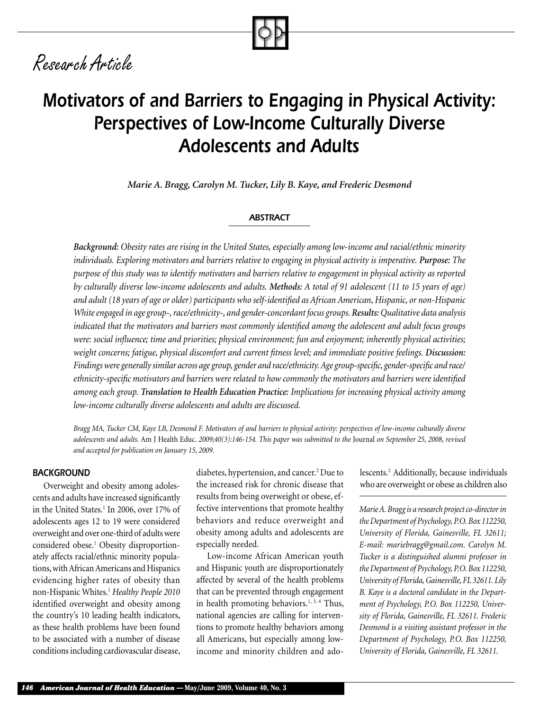# *Research Article*

# *Motivators of and Barriers to Engaging in Physical Activity: Perspectives of Low-Income Culturally Diverse Adolescents and Adults*

*Marie A. Bragg, Carolyn M. Tucker, Lily B. Kaye, and Frederic Desmond*

#### *ABSTRACT*

*Background: Obesity rates are rising in the United States, especially among low-income and racial/ethnic minority individuals. Exploring motivators and barriers relative to engaging in physical activity is imperative. Purpose: The purpose of this study was to identify motivators and barriers relative to engagement in physical activity as reported by culturally diverse low-income adolescents and adults. Methods: A total of 91 adolescent (11 to 15 years of age) and adult (18 years of age or older) participants who self-identified as African American, Hispanic, or non-Hispanic White engaged in age group-, race/ethnicity-, and gender-concordant focus groups. Results: Qualitative data analysis indicated that the motivators and barriers most commonly identified among the adolescent and adult focus groups were: social influence; time and priorities; physical environment; fun and enjoyment; inherently physical activities; weight concerns; fatigue, physical discomfort and current fitness level; and immediate positive feelings. Discussion: Findings were generally similar across age group, gender and race/ethnicity. Age group-specific, gender-specific and race/ ethnicity-specific motivators and barriers were related to how commonly the motivators and barriers were identified among each group. Translation to Health Education Practice: Implications for increasing physical activity among low-income culturally diverse adolescents and adults are discussed.*

*Bragg MA, Tucker CM, Kaye LB, Desmond F. Motivators of and barriers to physical activity: perspectives of low-income culturally diverse adolescents and adults.* Am J Health Educ. *2009;40(3):146-154. This paper was submitted to the* Journal *on September 25, 2008, revised and accepted for publication on January 15, 2009.*

## *BACKGROUND*

Overweight and obesity among adolescents and adults have increased significantly in the United States.<sup>1</sup> In 2006, over 17% of adolescents ages 12 to 19 were considered overweight and over one-third of adults were considered obese.1 Obesity disproportionately affects racial/ethnic minority populations, with African Americans and Hispanics evidencing higher rates of obesity than non-Hispanic Whites.1 *Healthy People 2010* identified overweight and obesity among the country's 10 leading health indicators, as these health problems have been found to be associated with a number of disease conditions including cardiovascular disease,

diabetes, hypertension, and cancer.<sup>2</sup> Due to the increased risk for chronic disease that results from being overweight or obese, effective interventions that promote healthy behaviors and reduce overweight and obesity among adults and adolescents are especially needed.

Low-income African American youth and Hispanic youth are disproportionately affected by several of the health problems that can be prevented through engagement in health promoting behaviors.<sup>1, 3, 4</sup> Thus, national agencies are calling for interventions to promote healthy behaviors among all Americans, but especially among lowincome and minority children and ado-

lescents.2 Additionally, because individuals who are overweight or obese as children also

*Marie A. Bragg is a research project co-director in the Department of Psychology, P.O. Box 112250, University of Florida, Gainesville, FL 32611; E-mail: mariebragg@gmail.com. Carolyn M. Tucker is a distinguished alumni professor in the Department of Psychology, P.O. Box 112250, University of Florida, Gainesville, FL 32611. Lily B. Kaye is a doctoral candidate in the Department of Psychology, P.O. Box 112250, University of Florida, Gainesville, FL 32611. Frederic Desmond is a visiting assistant professor in the Department of Psychology, P.O. Box 112250, University of Florida, Gainesville, FL 32611.*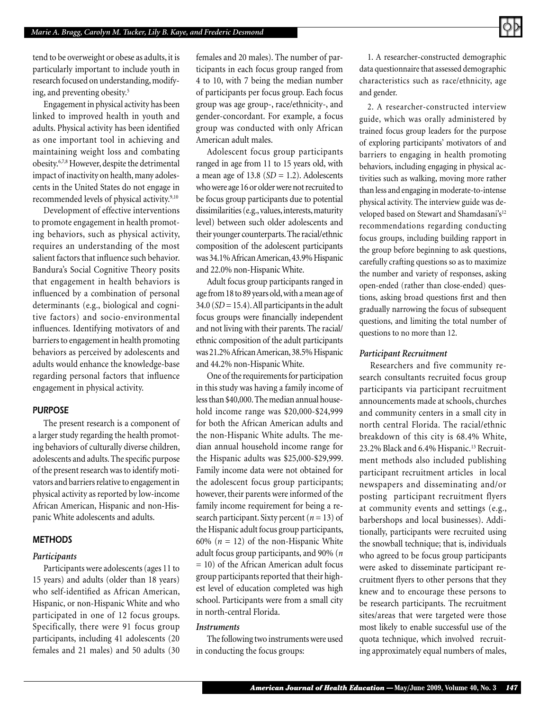

tend to be overweight or obese as adults, it is particularly important to include youth in research focused on understanding, modifying, and preventing obesity.5

Engagement in physical activity has been linked to improved health in youth and adults. Physical activity has been identified as one important tool in achieving and maintaining weight loss and combating obesity.6,7,8 However, despite the detrimental impact of inactivity on health, many adolescents in the United States do not engage in recommended levels of physical activity.<sup>9,10</sup>

Development of effective interventions to promote engagement in health promoting behaviors, such as physical activity, requires an understanding of the most salient factors that influence such behavior. bandura's Social Cognitive Theory posits that engagement in health behaviors is influenced by a combination of personal determinants (e.g., biological and cognitive factors) and socio-environmental influences. Identifying motivators of and barriers to engagement in health promoting behaviors as perceived by adolescents and adults would enhance the knowledge-base regarding personal factors that influence engagement in physical activity.

# *PURPOSE*

The present research is a component of a larger study regarding the health promoting behaviors of culturally diverse children, adolescents and adults. The specific purpose of the present research was to identify motivators and barriers relative to engagement in physical activity as reported by low-income African American, Hispanic and non-Hispanic White adolescents and adults.

# *METHODS*

#### *Participants*

Participants were adolescents (ages 11 to 15 years) and adults (older than 18 years) who self-identified as African American, Hispanic, or non-Hispanic White and who participated in one of 12 focus groups. Specifically, there were 91 focus group participants, including 41 adolescents (20 females and 21 males) and 50 adults (30

females and 20 males). The number of participants in each focus group ranged from 4 to 10, with 7 being the median number of participants per focus group. Each focus group was age group-, race/ethnicity-, and gender-concordant. For example, a focus group was conducted with only African American adult males.

Adolescent focus group participants ranged in age from 11 to 15 years old, with a mean age of 13.8 (*SD* = 1.2). Adolescents who were age 16 or older were not recruited to be focus group participants due to potential dissimilarities (e.g., values, interests, maturity level) between such older adolescents and their younger counterparts. The racial/ethnic composition of the adolescent participants was 34.1% African American, 43.9% Hispanic and 22.0% non-Hispanic White.

Adult focus group participants ranged in age from 18 to 89 years old, with a mean age of  $34.0$  ( $SD = 15.4$ ). All participants in the adult focus groups were financially independent and not living with their parents. The racial/ ethnic composition of the adult participants was 21.2% African American, 38.5% Hispanic and 44.2% non-Hispanic White.

One of the requirements for participation in this study was having a family income of less than \$40,000. The median annual household income range was \$20,000-\$24,999 for both the African American adults and the non-Hispanic White adults. The median annual household income range for the Hispanic adults was \$25,000-\$29,999. Family income data were not obtained for the adolescent focus group participants; however, their parents were informed of the family income requirement for being a research participant. Sixty percent (*n* = 13) of the Hispanic adult focus group participants, 60%  $(n = 12)$  of the non-Hispanic White adult focus group participants, and 90% (*n* = 10) of the African American adult focus group participants reported that their highest level of education completed was high school. Participants were from a small city in north-central Florida.

## *Instruments*

The following two instruments were used in conducting the focus groups:

1. A researcher-constructed demographic data questionnaire that assessed demographic characteristics such as race/ethnicity, age and gender.

2. A researcher-constructed interview guide, which was orally administered by trained focus group leaders for the purpose of exploring participants' motivators of and barriers to engaging in health promoting behaviors, including engaging in physical activities such as walking, moving more rather than less and engaging in moderate-to-intense physical activity. The interview guide was developed based on Stewart and Shamdasani's<sup>12</sup> recommendations regarding conducting focus groups, including building rapport in the group before beginning to ask questions, carefully crafting questions so as to maximize the number and variety of responses, asking open-ended (rather than close-ended) questions, asking broad questions first and then gradually narrowing the focus of subsequent questions, and limiting the total number of questions to no more than 12.

#### *Participant Recruitment*

Researchers and five community research consultants recruited focus group participants via participant recruitment announcements made at schools, churches and community centers in a small city in north central Florida. The racial/ethnic breakdown of this city is 68.4% White, 23.2% Black and 6.4% Hispanic.<sup>13</sup> Recruitment methods also included publishing participant recruitment articles in local newspapers and disseminating and/or posting participant recruitment flyers at community events and settings (e.g., barbershops and local businesses). Additionally, participants were recruited using the snowball technique; that is, individuals who agreed to be focus group participants were asked to disseminate participant recruitment flyers to other persons that they knew and to encourage these persons to be research participants. The recruitment sites/areas that were targeted were those most likely to enable successful use of the quota technique, which involved recruiting approximately equal numbers of males,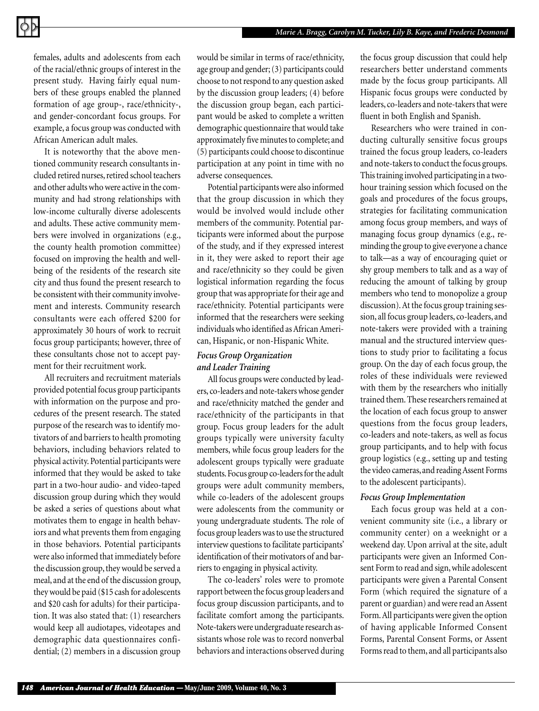females, adults and adolescents from each of the racial/ethnic groups of interest in the present study. Having fairly equal numbers of these groups enabled the planned formation of age group-, race/ethnicity-, and gender-concordant focus groups. For example, a focus group was conducted with African American adult males.

It is noteworthy that the above mentioned community research consultants included retired nurses, retired school teachers and other adults who were active in the community and had strong relationships with low-income culturally diverse adolescents and adults. These active community members were involved in organizations (e.g., the county health promotion committee) focused on improving the health and wellbeing of the residents of the research site city and thus found the present research to be consistent with their community involvement and interests. Community research consultants were each offered \$200 for approximately 30 hours of work to recruit focus group participants; however, three of these consultants chose not to accept payment for their recruitment work.

All recruiters and recruitment materials provided potential focus group participants with information on the purpose and procedures of the present research. The stated purpose of the research was to identify motivators of and barriers to health promoting behaviors, including behaviors related to physical activity. Potential participants were informed that they would be asked to take part in a two-hour audio- and video-taped discussion group during which they would be asked a series of questions about what motivates them to engage in health behaviors and what prevents them from engaging in those behaviors. Potential participants were also informed that immediately before the discussion group, they would be served a meal, and at the end of the discussion group, they would be paid (\$15 cash for adolescents and \$20 cash for adults) for their participation. It was also stated that: (1) researchers would keep all audiotapes, videotapes and demographic data questionnaires confidential; (2) members in a discussion group

would be similar in terms of race/ethnicity, age group and gender; (3) participants could choose to not respond to any question asked by the discussion group leaders; (4) before the discussion group began, each participant would be asked to complete a written demographic questionnaire that would take approximately five minutes to complete; and (5) participants could choose to discontinue participation at any point in time with no adverse consequences.

Potential participants were also informed that the group discussion in which they would be involved would include other members of the community. Potential participants were informed about the purpose of the study, and if they expressed interest in it, they were asked to report their age and race/ethnicity so they could be given logistical information regarding the focus group that was appropriate for their age and race/ethnicity. Potential participants were informed that the researchers were seeking individuals who identified as African American, Hispanic, or non-Hispanic White.

# *Focus Group Organization and Leader Training*

All focus groups were conducted by leaders, co-leaders and note-takers whose gender and race/ethnicity matched the gender and race/ethnicity of the participants in that group. Focus group leaders for the adult groups typically were university faculty members, while focus group leaders for the adolescent groups typically were graduate students. Focus group co-leaders for the adult groups were adult community members, while co-leaders of the adolescent groups were adolescents from the community or young undergraduate students. The role of focus group leaders was to use the structured interview questions to facilitate participants' identification of their motivators of and barriers to engaging in physical activity.

The co-leaders' roles were to promote rapport between the focus group leaders and focus group discussion participants, and to facilitate comfort among the participants. Note-takers were undergraduate research assistants whose role was to record nonverbal behaviors and interactions observed during the focus group discussion that could help researchers better understand comments made by the focus group participants. All Hispanic focus groups were conducted by leaders, co-leaders and note-takers that were fluent in both English and Spanish.

Researchers who were trained in conducting culturally sensitive focus groups trained the focus group leaders, co-leaders and note-takers to conduct the focus groups. This training involved participating in a twohour training session which focused on the goals and procedures of the focus groups, strategies for facilitating communication among focus group members, and ways of managing focus group dynamics (e.g., reminding the group to give everyone a chance to talk—as a way of encouraging quiet or shy group members to talk and as a way of reducing the amount of talking by group members who tend to monopolize a group discussion). At the focus group training session, all focus group leaders, co-leaders, and note-takers were provided with a training manual and the structured interview questions to study prior to facilitating a focus group. On the day of each focus group, the roles of these individuals were reviewed with them by the researchers who initially trained them. These researchers remained at the location of each focus group to answer questions from the focus group leaders, co-leaders and note-takers, as well as focus group participants, and to help with focus group logistics (e.g., setting up and testing the video cameras, and reading Assent Forms to the adolescent participants).

### *Focus Group Implementation*

Each focus group was held at a convenient community site (i.e., a library or community center) on a weeknight or a weekend day. Upon arrival at the site, adult participants were given an Informed Consent Form to read and sign, while adolescent participants were given a Parental Consent Form (which required the signature of a parent or guardian) and were read an Assent Form. All participants were given the option of having applicable Informed Consent Forms, Parental Consent Forms, or Assent Forms read to them, and all participants also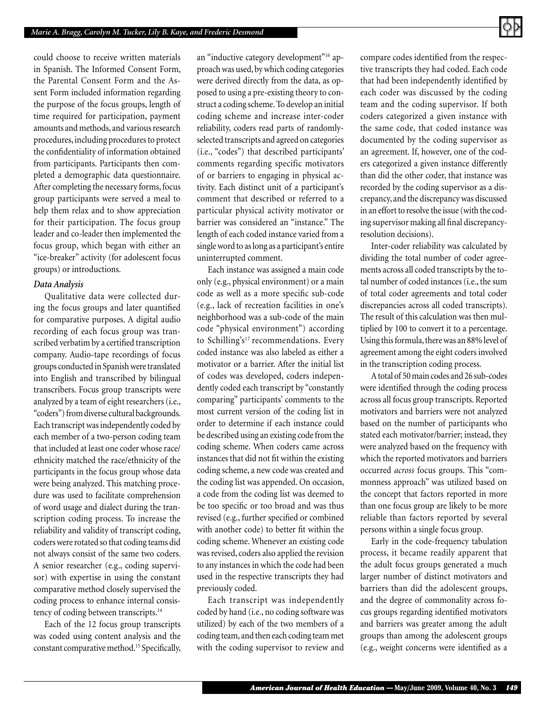

could choose to receive written materials in Spanish. The Informed Consent Form, the Parental Consent Form and the Assent Form included information regarding the purpose of the focus groups, length of time required for participation, payment amounts and methods, and various research procedures, including procedures to protect the confidentiality of information obtained from participants. Participants then completed a demographic data questionnaire. After completing the necessary forms, focus group participants were served a meal to help them relax and to show appreciation for their participation. The focus group leader and co-leader then implemented the focus group, which began with either an "ice-breaker" activity (for adolescent focus groups) or introductions.

#### *Data Analysis*

Qualitative data were collected during the focus groups and later quantified for comparative purposes. A digital audio recording of each focus group was transcribed verbatim by a certified transcription company. Audio-tape recordings of focus groups conducted in Spanish were translated into English and transcribed by bilingual transcribers. Focus group transcripts were analyzed by a team of eight researchers (i.e., "coders") from diverse cultural backgrounds. Each transcript was independently coded by each member of a two-person coding team that included at least one coder whose race/ ethnicity matched the race/ethnicity of the participants in the focus group whose data were being analyzed. This matching procedure was used to facilitate comprehension of word usage and dialect during the transcription coding process. To increase the reliability and validity of transcript coding, coders were rotated so that coding teams did not always consist of the same two coders. A senior researcher (e.g., coding supervisor) with expertise in using the constant comparative method closely supervised the coding process to enhance internal consistency of coding between transcripts.<sup>14</sup>

Each of the 12 focus group transcripts was coded using content analysis and the constant comparative method.15 Specifically, an "inductive category development"<sup>16</sup> approach was used, by which coding categories were derived directly from the data, as opposed to using a pre-existing theory to construct a coding scheme. To develop an initial coding scheme and increase inter-coder reliability, coders read parts of randomlyselected transcripts and agreed on categories (i.e., "codes") that described participants' comments regarding specific motivators of or barriers to engaging in physical activity. Each distinct unit of a participant's comment that described or referred to a particular physical activity motivator or barrier was considered an "instance." The length of each coded instance varied from a single word to as long as a participant's entire uninterrupted comment.

Each instance was assigned a main code only (e.g., physical environment) or a main code as well as a more specific sub-code (e.g., lack of recreation facilities in one's neighborhood was a sub-code of the main code "physical environment") according to Schilling's<sup>17</sup> recommendations. Every coded instance was also labeled as either a motivator or a barrier. After the initial list of codes was developed, coders independently coded each transcript by "constantly comparing" participants' comments to the most current version of the coding list in order to determine if each instance could be described using an existing code from the coding scheme. When coders came across instances that did not fit within the existing coding scheme, a new code was created and the coding list was appended. On occasion, a code from the coding list was deemed to be too specific or too broad and was thus revised (e.g., further specified or combined with another code) to better fit within the coding scheme. Whenever an existing code was revised, coders also applied the revision to any instances in which the code had been used in the respective transcripts they had previously coded.

Each transcript was independently coded by hand (i.e., no coding software was utilized) by each of the two members of a coding team, and then each coding team met with the coding supervisor to review and

compare codes identified from the respective transcripts they had coded. Each code that had been independently identified by each coder was discussed by the coding team and the coding supervisor. If both coders categorized a given instance with the same code, that coded instance was documented by the coding supervisor as an agreement. If, however, one of the coders categorized a given instance differently than did the other coder, that instance was recorded by the coding supervisor as a discrepancy, and the discrepancy was discussed in an effort to resolve the issue (with the coding supervisor making all final discrepancyresolution decisions).

Inter-coder reliability was calculated by dividing the total number of coder agreements across all coded transcripts by the total number of coded instances (i.e., the sum of total coder agreements and total coder discrepancies across all coded transcripts). The result of this calculation was then multiplied by 100 to convert it to a percentage. Using this formula, there was an 88% level of agreement among the eight coders involved in the transcription coding process.

A total of 50 main codes and 26 sub-codes were identified through the coding process across all focus group transcripts. Reported motivators and barriers were not analyzed based on the number of participants who stated each motivator/barrier; instead, they were analyzed based on the frequency with which the reported motivators and barriers occurred *across* focus groups. This "commonness approach" was utilized based on the concept that factors reported in more than one focus group are likely to be more reliable than factors reported by several persons within a single focus group.

Early in the code-frequency tabulation process, it became readily apparent that the adult focus groups generated a much larger number of distinct motivators and barriers than did the adolescent groups, and the degree of commonality across focus groups regarding identified motivators and barriers was greater among the adult groups than among the adolescent groups (e.g., weight concerns were identified as a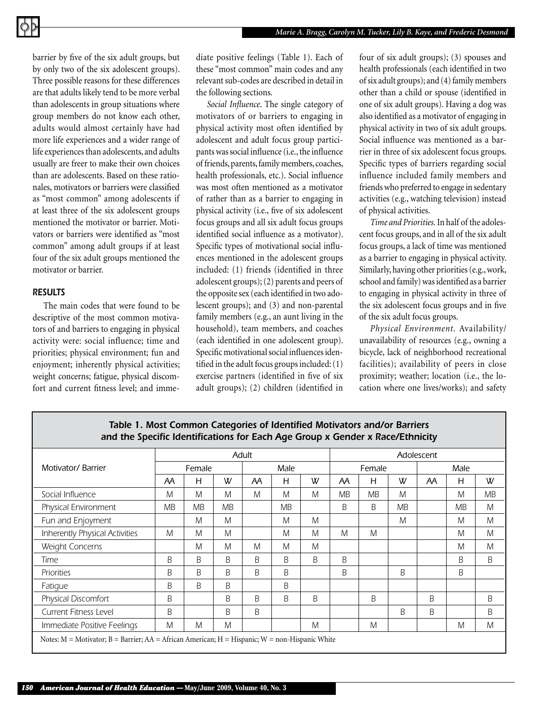barrier by five of the six adult groups, but by only two of the six adolescent groups). Three possible reasons for these differences are that adults likely tend to be more verbal than adolescents in group situations where group members do not know each other, adults would almost certainly have had more life experiences and a wider range of life experiences than adolescents, and adults usually are freer to make their own choices than are adolescents. Based on these rationales, motivators or barriers were classified as "most common" among adolescents if at least three of the six adolescent groups mentioned the motivator or barrier. Motivators or barriers were identified as "most common" among adult groups if at least four of the six adult groups mentioned the motivator or barrier.

# *RESULTS*

The main codes that were found to be descriptive of the most common motivators of and barriers to engaging in physical activity were: social influence; time and priorities; physical environment; fun and enjoyment; inherently physical activities; weight concerns; fatigue, physical discomfort and current fitness level; and immediate positive feelings (Table 1). Each of these "most common" main codes and any relevant sub-codes are described in detail in the following sections.

*Social Influence*. The single category of motivators of or barriers to engaging in physical activity most often identified by adolescent and adult focus group participants was social influence (i.e., the influence of friends, parents, family members, coaches, health professionals, etc.). Social influence was most often mentioned as a motivator of rather than as a barrier to engaging in physical activity (i.e., five of six adolescent focus groups and all six adult focus groups identified social influence as a motivator). Specific types of motivational social influences mentioned in the adolescent groups included: (1) friends (identified in three adolescent groups); (2) parents and peers of the opposite sex (each identified in two adolescent groups); and (3) and non-parental family members (e.g., an aunt living in the household), team members, and coaches (each identified in one adolescent group). Specific motivational social influences identified in the adult focus groups included: (1) exercise partners (identified in five of six adult groups); (2) children (identified in

four of six adult groups); (3) spouses and health professionals (each identified in two of six adult groups); and (4) family members other than a child or spouse (identified in one of six adult groups). Having a dog was also identified as a motivator of engaging in physical activity in two of six adult groups. Social influence was mentioned as a barrier in three of six adolescent focus groups. Specific types of barriers regarding social influence included family members and friends who preferred to engage in sedentary activities (e.g., watching television) instead of physical activities.

*Time and Priorities.* In half of the adolescent focus groups, and in all of the six adult focus groups, a lack of time was mentioned as a barrier to engaging in physical activity. Similarly, having other priorities (e.g., work, school and family) was identified as a barrier to engaging in physical activity in three of the six adolescent focus groups and in five of the six adult focus groups.

*Physical Environment.* Availability/ unavailability of resources (e.g., owning a bicycle, lack of neighborhood recreational facilities); availability of peers in close proximity; weather; location (i.e., the location where one lives/works); and safety

| Motivator/Barrier                     | Adult     |    |           |      |           |   | Adolescent |              |    |      |           |           |
|---------------------------------------|-----------|----|-----------|------|-----------|---|------------|--------------|----|------|-----------|-----------|
|                                       | Female    |    |           | Male |           |   | Female     |              |    | Male |           |           |
|                                       | AA        | H  | W         | AA   | H         | W | AA         | H            | W  | AA   | H         | W         |
| Social Influence                      | M         | M  | M         | M    | M         | M | <b>MB</b>  | <b>MB</b>    | M  |      | M         | <b>MB</b> |
| Physical Environment                  | <b>MB</b> | MB | <b>MB</b> |      | <b>MB</b> |   | B          | B            | MB |      | <b>MB</b> | M         |
| Fun and Enjoyment                     |           | M  | M         |      | M         | M |            |              | M  |      | M         | M         |
| <b>Inherently Physical Activities</b> | M         | M  | M         |      | M         | M | M          | M            |    |      | M         | M         |
| Weight Concerns                       |           | M  | M         | M    | M         | M |            |              |    |      | M         | M         |
| Time                                  | B         | B  | B         | B    | B         | B | B          |              |    |      | B         | B         |
| Priorities                            | B         | B  | B         | B    | B         |   | B          |              | B  |      | B         |           |
| Fatique                               | B         | B  | B         |      | B         |   |            |              |    |      |           |           |
| Physical Discomfort                   | B         |    | B         | B    | B         | B |            | <sub>B</sub> |    | B    |           | B         |
| <b>Current Fitness Level</b>          | B         |    | B         | B    |           |   |            |              | B  | B    |           | B         |
| Immediate Positive Feelings           | M         | M  | M         |      |           | M |            | M            |    |      | M         | M         |

*Table 1. Most Common Categories of Identified Motivators and/or Barriers and the Specific Identifications for Each Age Group x Gender x Race/Ethnicity*

*150 American Journal of Health Education —* **May/June 2009, Volume 40, No. 3**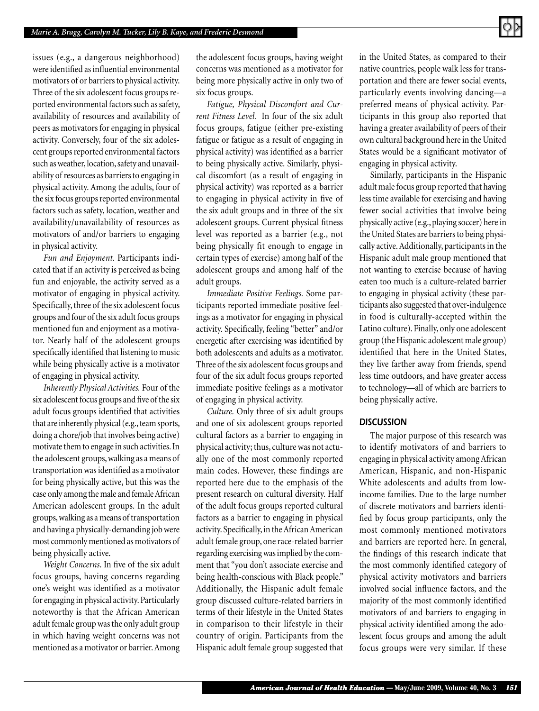issues (e.g., a dangerous neighborhood) were identified as influential environmental motivators of or barriers to physical activity. Three of the six adolescent focus groups reported environmental factors such as safety, availability of resources and availability of peers as motivators for engaging in physical activity. Conversely, four of the six adolescent groups reported environmental factors such as weather, location, safety and unavailability of resources as barriers to engaging in physical activity. Among the adults, four of the six focus groups reported environmental factors such as safety, location, weather and availability/unavailability of resources as motivators of and/or barriers to engaging in physical activity.

*Fun and Enjoyment*. Participants indicated that if an activity is perceived as being fun and enjoyable, the activity served as a motivator of engaging in physical activity. Specifically, three of the six adolescent focus groups and four of the six adult focus groups mentioned fun and enjoyment as a motivator. Nearly half of the adolescent groups specifically identified that listening to music while being physically active is a motivator of engaging in physical activity.

*Inherently Physical Activities.* Four of the six adolescent focus groups and five of the six adult focus groups identified that activities that are inherently physical (e.g., team sports, doing a chore/job that involves being active) motivate them to engage in such activities. In the adolescent groups, walking as a means of transportation was identified as a motivator for being physically active, but this was the case only among the male and female African American adolescent groups. In the adult groups, walking as a means of transportation and having a physically-demanding job were most commonly mentioned as motivators of being physically active.

*Weight Concerns*. In five of the six adult focus groups, having concerns regarding one's weight was identified as a motivator for engaging in physical activity. Particularly noteworthy is that the African American adult female group was the only adult group in which having weight concerns was not mentioned as a motivator or barrier. Among the adolescent focus groups, having weight concerns was mentioned as a motivator for being more physically active in only two of six focus groups.

*Fatigue, Physical Discomfort and Current Fitness Level.* In four of the six adult focus groups, fatigue (either pre-existing fatigue or fatigue as a result of engaging in physical activity) was identified as a barrier to being physically active. Similarly, physical discomfort (as a result of engaging in physical activity) was reported as a barrier to engaging in physical activity in five of the six adult groups and in three of the six adolescent groups. Current physical fitness level was reported as a barrier (e.g., not being physically fit enough to engage in certain types of exercise) among half of the adolescent groups and among half of the adult groups.

*Immediate Positive Feelings.* Some participants reported immediate positive feelings as a motivator for engaging in physical activity. Specifically, feeling "better" and/or energetic after exercising was identified by both adolescents and adults as a motivator. Three of the six adolescent focus groups and four of the six adult focus groups reported immediate positive feelings as a motivator of engaging in physical activity.

*Culture.* Only three of six adult groups and one of six adolescent groups reported cultural factors as a barrier to engaging in physical activity; thus, culture was not actually one of the most commonly reported main codes. However, these findings are reported here due to the emphasis of the present research on cultural diversity. Half of the adult focus groups reported cultural factors as a barrier to engaging in physical activity. Specifically, in the African American adult female group, one race-related barrier regarding exercising was implied by the comment that "you don't associate exercise and being health-conscious with Black people." Additionally, the Hispanic adult female group discussed culture-related barriers in terms of their lifestyle in the United States in comparison to their lifestyle in their country of origin. Participants from the Hispanic adult female group suggested that in the United States, as compared to their native countries, people walk less for transportation and there are fewer social events, particularly events involving dancing—a preferred means of physical activity. Participants in this group also reported that having a greater availability of peers of their own cultural background here in the United States would be a significant motivator of engaging in physical activity.

Similarly, participants in the Hispanic adult male focus group reported that having less time available for exercising and having fewer social activities that involve being physically active (e.g., playing soccer) here in the United States are barriers to being physically active. Additionally, participants in the Hispanic adult male group mentioned that not wanting to exercise because of having eaten too much is a culture-related barrier to engaging in physical activity (these participants also suggested that over-indulgence in food is culturally-accepted within the Latino culture). Finally, only one adolescent group (the Hispanic adolescent male group) identified that here in the United States, they live farther away from friends, spend less time outdoors, and have greater access to technology—all of which are barriers to being physically active.

## *DISCUSSION*

The major purpose of this research was to identify motivators of and barriers to engaging in physical activity among African American, Hispanic, and non-Hispanic White adolescents and adults from lowincome families. Due to the large number of discrete motivators and barriers identified by focus group participants, only the most commonly mentioned motivators and barriers are reported here. In general, the findings of this research indicate that the most commonly identified category of physical activity motivators and barriers involved social influence factors, and the majority of the most commonly identified motivators of and barriers to engaging in physical activity identified among the adolescent focus groups and among the adult focus groups were very similar. If these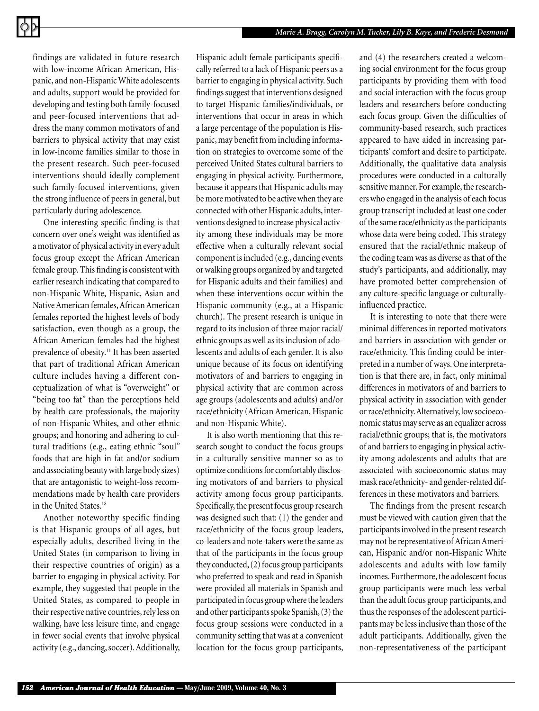findings are validated in future research with low-income African American, Hispanic, and non-Hispanic White adolescents and adults, support would be provided for developing and testing both family-focused and peer-focused interventions that address the many common motivators of and barriers to physical activity that may exist in low-income families similar to those in the present research. Such peer-focused interventions should ideally complement such family-focused interventions, given the strong influence of peers in general, but particularly during adolescence.

One interesting specific finding is that concern over one's weight was identified as a motivator of physical activity in every adult focus group except the African American female group. This finding is consistent with earlier research indicating that compared to non-Hispanic White, Hispanic, Asian and Native American females, African American females reported the highest levels of body satisfaction, even though as a group, the African American females had the highest prevalence of obesity.11 It has been asserted that part of traditional African American culture includes having a different conceptualization of what is "overweight" or "being too fat" than the perceptions held by health care professionals, the majority of non-Hispanic Whites, and other ethnic groups; and honoring and adhering to cultural traditions (e.g., eating ethnic "soul" foods that are high in fat and/or sodium and associating beauty with large body sizes) that are antagonistic to weight-loss recommendations made by health care providers in the United States.<sup>18</sup>

Another noteworthy specific finding is that Hispanic groups of all ages, but especially adults, described living in the United States (in comparison to living in their respective countries of origin) as a barrier to engaging in physical activity. For example, they suggested that people in the United States, as compared to people in their respective native countries, rely less on walking, have less leisure time, and engage in fewer social events that involve physical activity (e.g., dancing, soccer). Additionally,

Hispanic adult female participants specifically referred to a lack of Hispanic peers as a barrier to engaging in physical activity. Such findings suggest that interventions designed to target Hispanic families/individuals, or interventions that occur in areas in which a large percentage of the population is Hispanic, may benefit from including information on strategies to overcome some of the perceived United States cultural barriers to engaging in physical activity. Furthermore, because it appears that Hispanic adults may be more motivated to be active when they are connected with other Hispanic adults, interventions designed to increase physical activity among these individuals may be more effective when a culturally relevant social component is included (e.g., dancing events or walking groups organized by and targeted for Hispanic adults and their families) and when these interventions occur within the Hispanic community (e.g., at a Hispanic church). The present research is unique in regard to its inclusion of three major racial/ ethnic groups as well as its inclusion of adolescents and adults of each gender. It is also unique because of its focus on identifying motivators of and barriers to engaging in physical activity that are common across age groups (adolescents and adults) and/or race/ethnicity (African American, Hispanic and non-Hispanic White).

It is also worth mentioning that this research sought to conduct the focus groups in a culturally sensitive manner so as to optimize conditions for comfortably disclosing motivators of and barriers to physical activity among focus group participants. Specifically, the present focus group research was designed such that: (1) the gender and race/ethnicity of the focus group leaders, co-leaders and note-takers were the same as that of the participants in the focus group they conducted, (2) focus group participants who preferred to speak and read in Spanish were provided all materials in Spanish and participated in focus group where the leaders and other participants spoke Spanish, (3) the focus group sessions were conducted in a community setting that was at a convenient location for the focus group participants, and (4) the researchers created a welcoming social environment for the focus group participants by providing them with food and social interaction with the focus group leaders and researchers before conducting each focus group. Given the difficulties of community-based research, such practices appeared to have aided in increasing participants' comfort and desire to participate. Additionally, the qualitative data analysis procedures were conducted in a culturally sensitive manner. For example, the researchers who engaged in the analysis of each focus group transcript included at least one coder of the same race/ethnicity as the participants whose data were being coded. This strategy ensured that the racial/ethnic makeup of the coding team was as diverse as that of the study's participants, and additionally, may have promoted better comprehension of any culture-specific language or culturallyinfluenced practice.

It is interesting to note that there were minimal differences in reported motivators and barriers in association with gender or race/ethnicity. This finding could be interpreted in a number of ways. One interpretation is that there are, in fact, only minimal differences in motivators of and barriers to physical activity in association with gender or race/ethnicity. Alternatively, low socioeconomic status may serve as an equalizer across racial/ethnic groups; that is, the motivators of and barriers to engaging in physical activity among adolescents and adults that are associated with socioeconomic status may mask race/ethnicity- and gender-related differences in these motivators and barriers.

The findings from the present research must be viewed with caution given that the participants involved in the present research may not be representative of African American, Hispanic and/or non-Hispanic White adolescents and adults with low family incomes. Furthermore, the adolescent focus group participants were much less verbal than the adult focus group participants, and thus the responses of the adolescent participants may be less inclusive than those of the adult participants. Additionally, given the non-representativeness of the participant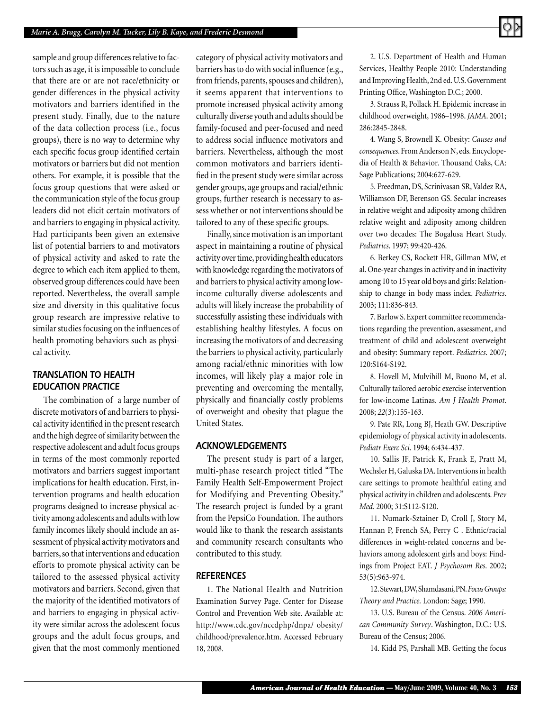sample and group differences relative to factors such as age, it is impossible to conclude that there are or are not race/ethnicity or gender differences in the physical activity motivators and barriers identified in the present study. Finally, due to the nature of the data collection process (i.e., focus groups), there is no way to determine why each specific focus group identified certain motivators or barriers but did not mention others. For example, it is possible that the focus group questions that were asked or the communication style of the focus group leaders did not elicit certain motivators of and barriers to engaging in physical activity. Had participants been given an extensive list of potential barriers to and motivators of physical activity and asked to rate the degree to which each item applied to them, observed group differences could have been reported. Nevertheless, the overall sample size and diversity in this qualitative focus group research are impressive relative to similar studies focusing on the influences of health promoting behaviors such as physical activity.

# *TRANSLATION TO HEALTH EDUCATION PRACTICE*

The combination of a large number of discrete motivators of and barriers to physical activity identified in the present research and the high degree of similarity between the respective adolescent and adult focus groups in terms of the most commonly reported motivators and barriers suggest important implications for health education. First, intervention programs and health education programs designed to increase physical activity among adolescents and adults with low family incomes likely should include an assessment of physical activity motivators and barriers, so that interventions and education efforts to promote physical activity can be tailored to the assessed physical activity motivators and barriers. Second, given that the majority of the identified motivators of and barriers to engaging in physical activity were similar across the adolescent focus groups and the adult focus groups, and given that the most commonly mentioned

category of physical activity motivators and barriers has to do with social influence (e.g., from friends, parents, spouses and children), it seems apparent that interventions to promote increased physical activity among culturally diverse youth and adults should be family-focused and peer-focused and need to address social influence motivators and barriers. Nevertheless, although the most common motivators and barriers identified in the present study were similar across gender groups, age groups and racial/ethnic groups, further research is necessary to assess whether or not interventions should be tailored to any of these specific groups.

Finally, since motivation is an important aspect in maintaining a routine of physical activity over time, providing health educators with knowledge regarding the motivators of and barriers to physical activity among lowincome culturally diverse adolescents and adults will likely increase the probability of successfully assisting these individuals with establishing healthy lifestyles. A focus on increasing the motivators of and decreasing the barriers to physical activity, particularly among racial/ethnic minorities with low incomes, will likely play a major role in preventing and overcoming the mentally, physically and financially costly problems of overweight and obesity that plague the United States.

# *ACKNOwLEDGEMENTS*

The present study is part of a larger, multi-phase research project titled "The Family Health Self-Empowerment Project for Modifying and Preventing Obesity." The research project is funded by a grant from the PepsiCo Foundation. The authors would like to thank the research assistants and community research consultants who contributed to this study.

## *REFERENCES*

1. The National Health and Nutrition Examination Survey Page. Center for Disease Control and Prevention Web site. Available at: http://www.cdc.gov/nccdphp/dnpa/ obesity/ childhood/prevalence.htm. Accessed February 18, 2008.

2. U.S. Department of Health and Human Services, Healthy People 2010: Understanding and Improving Health, 2nd ed. U.S. Government Printing Office, Washington D.C.; 2000.

3. Strauss R, Pollack H. Epidemic increase in childhood overweight, 1986–1998. *JAMA*. 2001; 286:2845-2848.

4. Wang S, brownell K. Obesity: *Causes and consequences*. From Anderson N, eds. Encyclopedia of Health & behavior*.* Thousand Oaks, CA: Sage Publications; 2004:627-629.

5. Freedman, DS, Scrinivasan SR, Valdez RA, Williamson DF, berenson GS. Secular increases in relative weight and adiposity among children relative weight and adiposity among children over two decades: The bogalusa Heart Study. *Pediatrics*. 1997; 99:420-426.

6. berkey CS, Rockett HR, Gillman MW, et al. One-year changes in activity and in inactivity among 10 to 15 year old boys and girls: Relationship to change in body mass index. *Pediatrics*. 2003; 111:836-843.

7. barlow S. Expert committee recommendations regarding the prevention, assessment, and treatment of child and adolescent overweight and obesity: Summary report. *Pediatrics*. 2007; 120:S164-S192.

8. Hovell M, Mulvihill M, buono M, et al. Culturally tailored aerobic exercise intervention for low-income Latinas. *Am J Health Promot*. 2008; *22*(3):155-163.

9. Pate RR, Long bJ, Heath GW. Descriptive epidemiology of physical activity in adolescents. *Pediatr Exerc Sci*. 1994; 6:434-437.

10. Sallis JF, Patrick K, Frank E, Pratt M, Wechsler H, Galuska DA. Interventions in health care settings to promote healthful eating and physical activity in children and adolescents. *Prev Med*. 2000; 31:S112-S120.

11. Numark-Sztainer D, Croll J, Story M, Hannan P, French SA, Perry C . Ethnic/racial differences in weight-related concerns and behaviors among adolescent girls and boys: Findings from Project EAT. *J Psychosom Res*. 2002; 53(5):963-974.

12. Stewart, DW, Shamdasani, PN. *Focus Groups: Theory and Practice.* London: Sage; 1990.

13. U.S. bureau of the Census. *2006 American Community Survey*. Washington, D.C.: U.S. bureau of the Census; 2006.

14. Kidd PS, Parshall Mb. Getting the focus